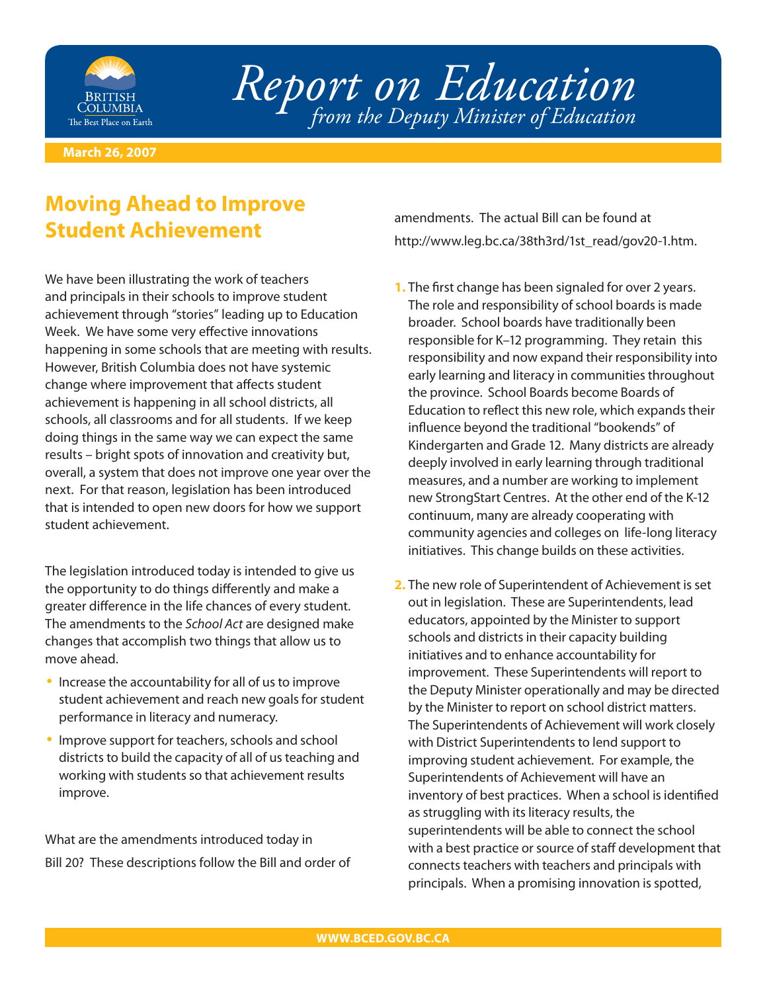

*Report on Education from the Deputy Minister of Education*

**March 26, 2007**

## **Moving Ahead to Improve Student Achievement**

We have been illustrating the work of teachers and principals in their schools to improve student achievement through "stories" leading up to Education Week. We have some very effective innovations happening in some schools that are meeting with results. However, British Columbia does not have systemic change where improvement that affects student achievement is happening in all school districts, all schools, all classrooms and for all students. If we keep doing things in the same way we can expect the same results – bright spots of innovation and creativity but, overall, a system that does not improve one year over the next. For that reason, legislation has been introduced that is intended to open new doors for how we support student achievement.

The legislation introduced today is intended to give us the opportunity to do things differently and make a greater difference in the life chances of every student. The amendments to the School Act are designed make changes that accomplish two things that allow us to move ahead.

- Increase the accountability for all of us to improve student achievement and reach new goals for student performance in literacy and numeracy.
- Improve support for teachers, schools and school districts to build the capacity of all of us teaching and working with students so that achievement results improve. •

What are the amendments introduced today in Bill 20? These descriptions follow the Bill and order of amendments. The actual Bill can be found at http://www.leg.bc.ca/38th3rd/1st\_read/gov20-1.htm.

- **1.** The first change has been signaled for over 2 years. The role and responsibility of school boards is made broader. School boards have traditionally been responsible for K–12 programming. They retain this responsibility and now expand their responsibility into early learning and literacy in communities throughout the province. School Boards become Boards of Education to reflect this new role, which expands their influence beyond the traditional "bookends" of Kindergarten and Grade 12. Many districts are already deeply involved in early learning through traditional measures, and a number are working to implement new StrongStart Centres. At the other end of the K-12 continuum, many are already cooperating with community agencies and colleges on life-long literacy initiatives. This change builds on these activities.
- 2. The new role of Superintendent of Achievement is set out in legislation. These are Superintendents, lead educators, appointed by the Minister to support schools and districts in their capacity building initiatives and to enhance accountability for improvement. These Superintendents will report to the Deputy Minister operationally and may be directed by the Minister to report on school district matters. The Superintendents of Achievement will work closely with District Superintendents to lend support to improving student achievement. For example, the Superintendents of Achievement will have an inventory of best practices. When a school is identified as struggling with its literacy results, the superintendents will be able to connect the school with a best practice or source of staff development that connects teachers with teachers and principals with principals. When a promising innovation is spotted,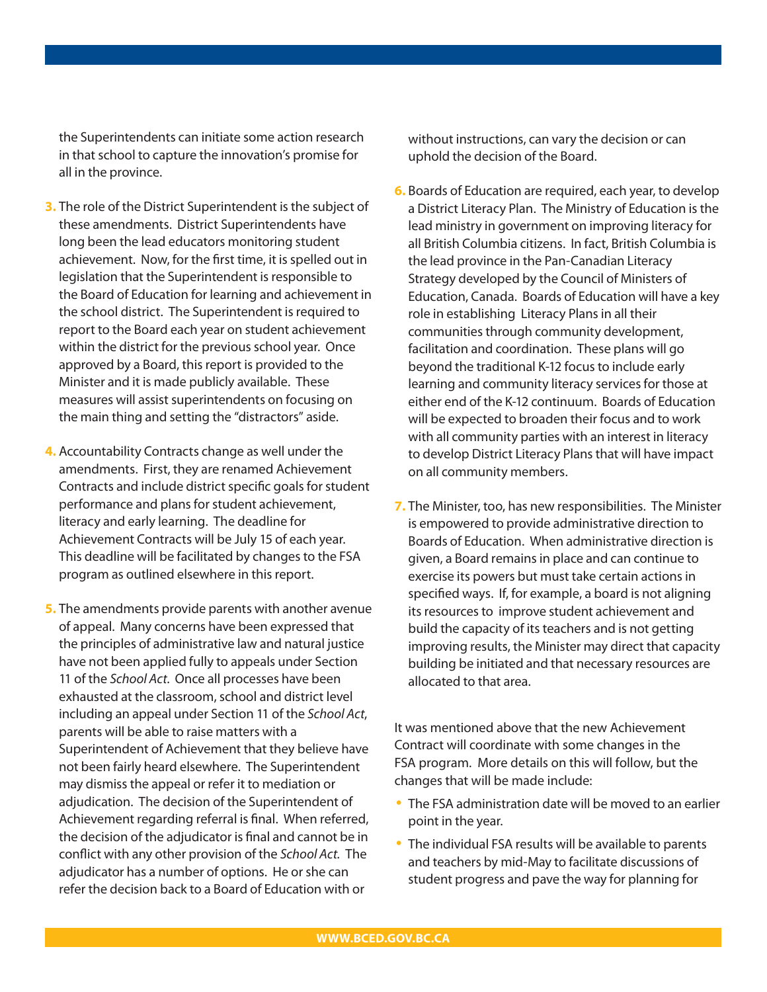the Superintendents can initiate some action research in that school to capture the innovation's promise for all in the province.

- **3.** The role of the District Superintendent is the subject of these amendments. District Superintendents have long been the lead educators monitoring student achievement. Now, for the first time, it is spelled out in legislation that the Superintendent is responsible to the Board of Education for learning and achievement in the school district. The Superintendent is required to report to the Board each year on student achievement within the district for the previous school year. Once approved by a Board, this report is provided to the Minister and it is made publicly available. These measures will assist superintendents on focusing on the main thing and setting the "distractors" aside.
- Accountability Contracts change as well under the **4.** amendments. First, they are renamed Achievement Contracts and include district specific goals for student performance and plans for student achievement, literacy and early learning. The deadline for Achievement Contracts will be July 15 of each year. This deadline will be facilitated by changes to the FSA program as outlined elsewhere in this report.
- **5.** The amendments provide parents with another avenue of appeal. Many concerns have been expressed that the principles of administrative law and natural justice have not been applied fully to appeals under Section 11 of the School Act. Once all processes have been exhausted at the classroom, school and district level including an appeal under Section 11 of the School Act, parents will be able to raise matters with a Superintendent of Achievement that they believe have not been fairly heard elsewhere. The Superintendent may dismiss the appeal or refer it to mediation or adjudication. The decision of the Superintendent of Achievement regarding referral is final. When referred, the decision of the adjudicator is final and cannot be in conflict with any other provision of the School Act. The adjudicator has a number of options. He or she can refer the decision back to a Board of Education with or

without instructions, can vary the decision or can uphold the decision of the Board.

- **6.** Boards of Education are required, each year, to develop a District Literacy Plan. The Ministry of Education is the lead ministry in government on improving literacy for all British Columbia citizens. In fact, British Columbia is the lead province in the Pan-Canadian Literacy Strategy developed by the Council of Ministers of Education, Canada. Boards of Education will have a key role in establishing Literacy Plans in all their communities through community development, facilitation and coordination. These plans will go beyond the traditional K-12 focus to include early learning and community literacy services for those at either end of the K-12 continuum. Boards of Education will be expected to broaden their focus and to work with all community parties with an interest in literacy to develop District Literacy Plans that will have impact on all community members.
- 7. The Minister, too, has new responsibilities. The Minister is empowered to provide administrative direction to Boards of Education. When administrative direction is given, a Board remains in place and can continue to exercise its powers but must take certain actions in specified ways. If, for example, a board is not aligning its resources to improve student achievement and build the capacity of its teachers and is not getting improving results, the Minister may direct that capacity building be initiated and that necessary resources are allocated to that area.

It was mentioned above that the new Achievement Contract will coordinate with some changes in the FSA program. More details on this will follow, but the changes that will be made include:

- The FSA administration date will be moved to an earlier point in the year.
- The individual FSA results will be available to parents and teachers by mid-May to facilitate discussions of student progress and pave the way for planning for